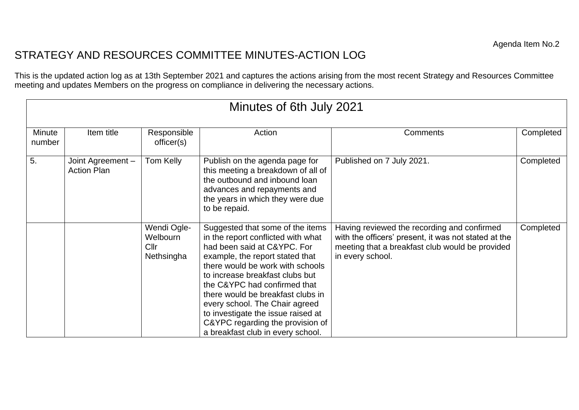## STRATEGY AND RESOURCES COMMITTEE MINUTES-ACTION LOG

This is the updated action log as at 13th September 2021 and captures the actions arising from the most recent Strategy and Resources Committee meeting and updates Members on the progress on compliance in delivering the necessary actions.

| Minutes of 6th July 2021 |                                         |                                                           |                                                                                                                                                                                                                                                                                                                                                                                                                                       |                                                                                                                                                                            |           |  |  |
|--------------------------|-----------------------------------------|-----------------------------------------------------------|---------------------------------------------------------------------------------------------------------------------------------------------------------------------------------------------------------------------------------------------------------------------------------------------------------------------------------------------------------------------------------------------------------------------------------------|----------------------------------------------------------------------------------------------------------------------------------------------------------------------------|-----------|--|--|
| Minute<br>number         | Item title                              | Responsible<br>officer(s)                                 | Action                                                                                                                                                                                                                                                                                                                                                                                                                                | Comments                                                                                                                                                                   | Completed |  |  |
| 5.                       | Joint Agreement -<br><b>Action Plan</b> | Tom Kelly                                                 | Publish on the agenda page for<br>this meeting a breakdown of all of<br>the outbound and inbound loan<br>advances and repayments and<br>the years in which they were due<br>to be repaid.                                                                                                                                                                                                                                             | Published on 7 July 2021.                                                                                                                                                  | Completed |  |  |
|                          |                                         | Wendi Ogle-<br>Welbourn<br>Cl <sub>lr</sub><br>Nethsingha | Suggested that some of the items<br>in the report conflicted with what<br>had been said at C&YPC. For<br>example, the report stated that<br>there would be work with schools<br>to increase breakfast clubs but<br>the C&YPC had confirmed that<br>there would be breakfast clubs in<br>every school. The Chair agreed<br>to investigate the issue raised at<br>C&YPC regarding the provision of<br>a breakfast club in every school. | Having reviewed the recording and confirmed<br>with the officers' present, it was not stated at the<br>meeting that a breakfast club would be provided<br>in every school. | Completed |  |  |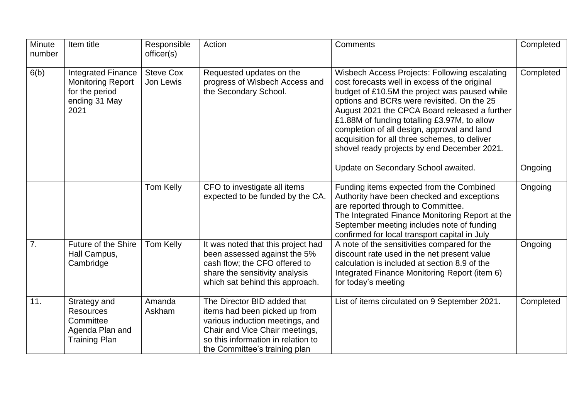| Minute<br>number | Item title                                                                                       | Responsible<br>officer(s)     | Action                                                                                                                                                                                                   | Comments                                                                                                                                                                                                                                                                                                                                                                                                                                                                             | Completed            |
|------------------|--------------------------------------------------------------------------------------------------|-------------------------------|----------------------------------------------------------------------------------------------------------------------------------------------------------------------------------------------------------|--------------------------------------------------------------------------------------------------------------------------------------------------------------------------------------------------------------------------------------------------------------------------------------------------------------------------------------------------------------------------------------------------------------------------------------------------------------------------------------|----------------------|
| 6(b)             | <b>Integrated Finance</b><br><b>Monitoring Report</b><br>for the period<br>ending 31 May<br>2021 | <b>Steve Cox</b><br>Jon Lewis | Requested updates on the<br>progress of Wisbech Access and<br>the Secondary School.                                                                                                                      | Wisbech Access Projects: Following escalating<br>cost forecasts well in excess of the original<br>budget of £10.5M the project was paused while<br>options and BCRs were revisited. On the 25<br>August 2021 the CPCA Board released a further<br>£1.88M of funding totalling £3.97M, to allow<br>completion of all design, approval and land<br>acquisition for all three schemes, to deliver<br>shovel ready projects by end December 2021.<br>Update on Secondary School awaited. | Completed<br>Ongoing |
|                  |                                                                                                  |                               |                                                                                                                                                                                                          |                                                                                                                                                                                                                                                                                                                                                                                                                                                                                      |                      |
|                  |                                                                                                  | Tom Kelly                     | CFO to investigate all items<br>expected to be funded by the CA.                                                                                                                                         | Funding items expected from the Combined<br>Authority have been checked and exceptions<br>are reported through to Committee.<br>The Integrated Finance Monitoring Report at the<br>September meeting includes note of funding<br>confirmed for local transport capital in July                                                                                                                                                                                                       | Ongoing              |
| 7.               | <b>Future of the Shire</b><br>Hall Campus,<br>Cambridge                                          | Tom Kelly                     | It was noted that this project had<br>been assessed against the 5%<br>cash flow; the CFO offered to<br>share the sensitivity analysis<br>which sat behind this approach.                                 | A note of the sensitivities compared for the<br>discount rate used in the net present value<br>calculation is included at section 8.9 of the<br>Integrated Finance Monitoring Report (item 6)<br>for today's meeting                                                                                                                                                                                                                                                                 | Ongoing              |
| 11.              | Strategy and<br><b>Resources</b><br>Committee<br>Agenda Plan and<br><b>Training Plan</b>         | Amanda<br>Askham              | The Director BID added that<br>items had been picked up from<br>various induction meetings, and<br>Chair and Vice Chair meetings,<br>so this information in relation to<br>the Committee's training plan | List of items circulated on 9 September 2021.                                                                                                                                                                                                                                                                                                                                                                                                                                        | Completed            |